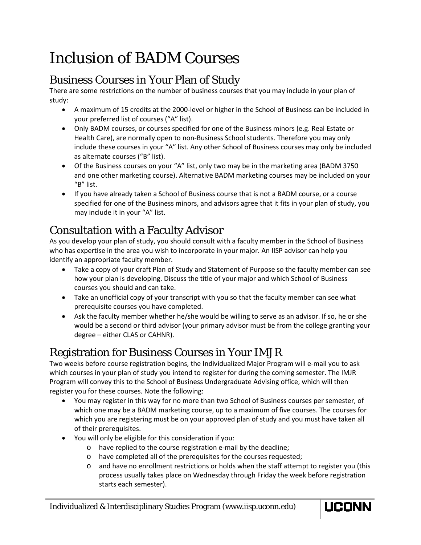# Inclusion of BADM Courses

## Business Courses in Your Plan of Study

There are some restrictions on the number of business courses that you may include in your plan of study:

- A maximum of 15 credits at the 2000-level or higher in the School of Business can be included in your preferred list of courses ("A" list).
- Only BADM courses, or courses specified for one of the Business minors (e.g. Real Estate or Health Care), are normally open to non-Business School students. Therefore you may only include these courses in your "A" list. Any other School of Business courses may only be included as alternate courses ("B" list).
- Of the Business courses on your "A" list, only two may be in the marketing area (BADM 3750 and one other marketing course). Alternative BADM marketing courses may be included on your "B" list.
- If you have already taken a School of Business course that is not a BADM course, or a course specified for one of the Business minors, and advisors agree that it fits in your plan of study, you may include it in your "A" list.

## Consultation with a Faculty Advisor

As you develop your plan of study, you should consult with a faculty member in the School of Business who has expertise in the area you wish to incorporate in your major. An IISP advisor can help you identify an appropriate faculty member.

- Take a copy of your draft Plan of Study and Statement of Purpose so the faculty member can see how your plan is developing. Discuss the title of your major and which School of Business courses you should and can take.
- Take an unofficial copy of your transcript with you so that the faculty member can see what prerequisite courses you have completed.
- Ask the faculty member whether he/she would be willing to serve as an advisor. If so, he or she would be a second or third advisor (your primary advisor must be from the college granting your degree – either CLAS or CAHNR).

## Registration for Business Courses in Your IMJR

Two weeks before course registration begins, the Individualized Major Program will e-mail you to ask which courses in your plan of study you intend to register for during the coming semester. The IMJR Program will convey this to the School of Business Undergraduate Advising office, which will then register you for these courses. Note the following:

- You may register in this way for no more than two School of Business courses per semester, of which one may be a BADM marketing course, up to a maximum of five courses. The courses for which you are registering must be on your approved plan of study and you must have taken all of their prerequisites.
- You will only be eligible for this consideration if you:
	- o have replied to the course registration e-mail by the deadline;
	- o have completed all of the prerequisites for the courses requested;
	- o and have no enrollment restrictions or holds when the staff attempt to register you (this process usually takes place on Wednesday through Friday the week before registration starts each semester).